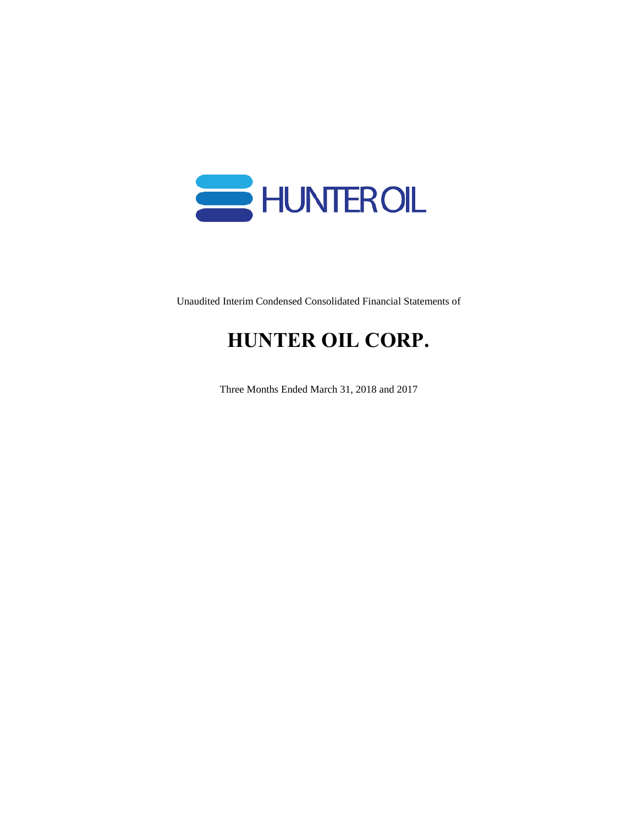

Unaudited Interim Condensed Consolidated Financial Statements of

# **HUNTER OIL CORP.**

Three Months Ended March 31, 2018 and 2017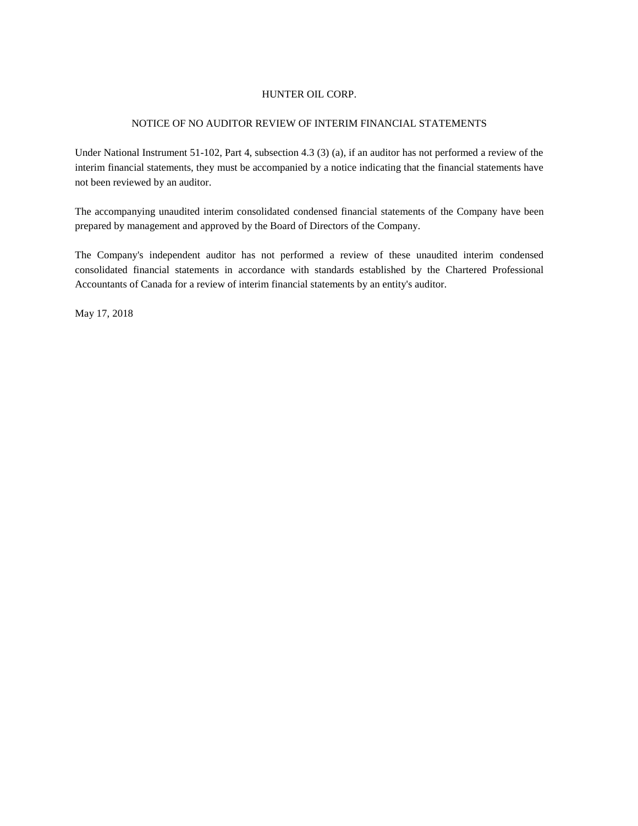#### NOTICE OF NO AUDITOR REVIEW OF INTERIM FINANCIAL STATEMENTS

Under National Instrument 51-102, Part 4, subsection 4.3 (3) (a), if an auditor has not performed a review of the interim financial statements, they must be accompanied by a notice indicating that the financial statements have not been reviewed by an auditor.

The accompanying unaudited interim consolidated condensed financial statements of the Company have been prepared by management and approved by the Board of Directors of the Company.

The Company's independent auditor has not performed a review of these unaudited interim condensed consolidated financial statements in accordance with standards established by the Chartered Professional Accountants of Canada for a review of interim financial statements by an entity's auditor.

May 17, 2018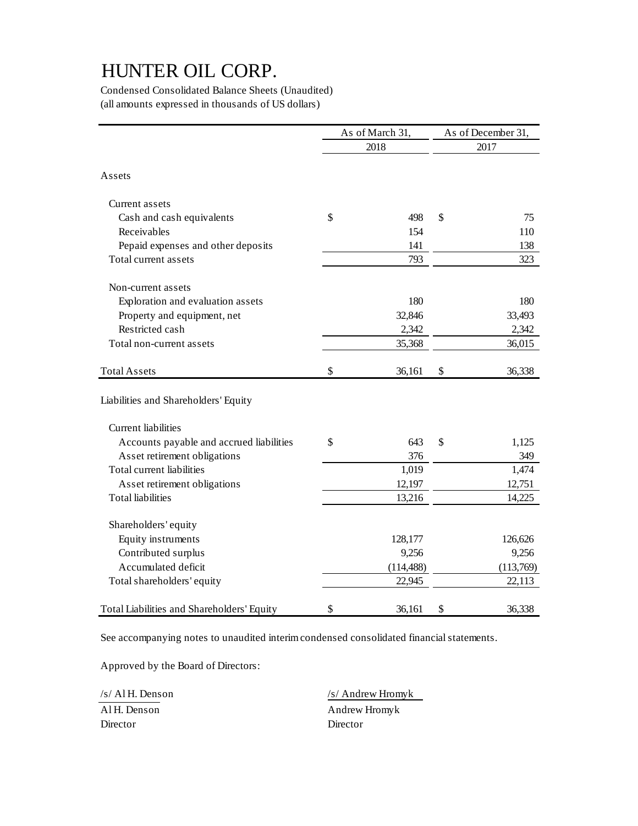Condensed Consolidated Balance Sheets (Unaudited) (all amounts expressed in thousands of US dollars)

|                                            | As of March 31, |            | As of December 31, |           |  |
|--------------------------------------------|-----------------|------------|--------------------|-----------|--|
|                                            | 2018            |            |                    | 2017      |  |
| Assets                                     |                 |            |                    |           |  |
| Current assets                             |                 |            |                    |           |  |
| Cash and cash equivalents                  | \$              | 498        | \$                 | 75        |  |
| Receivables                                |                 | 154        |                    | 110       |  |
| Pepaid expenses and other deposits         |                 | 141        |                    | 138       |  |
| Total current assets                       |                 | 793        |                    | 323       |  |
| Non-current assets                         |                 |            |                    |           |  |
| Exploration and evaluation assets          |                 | 180        |                    | 180       |  |
| Property and equipment, net                |                 | 32,846     |                    | 33,493    |  |
| Restricted cash                            |                 | 2,342      |                    | 2,342     |  |
| Total non-current assets                   |                 | 35,368     |                    | 36,015    |  |
| <b>Total Assets</b>                        | \$              | 36,161     | \$                 | 36,338    |  |
| Liabilities and Shareholders' Equity       |                 |            |                    |           |  |
| <b>Current</b> liabilities                 |                 |            |                    |           |  |
| Accounts payable and accrued liabilities   | \$              | 643        | \$                 | 1,125     |  |
| Asset retirement obligations               |                 | 376        |                    | 349       |  |
| Total current liabilities                  |                 | 1,019      |                    | 1,474     |  |
| Asset retirement obligations               |                 | 12,197     |                    | 12,751    |  |
| <b>Total liabilities</b>                   |                 | 13,216     |                    | 14,225    |  |
| Shareholders' equity                       |                 |            |                    |           |  |
| Equity instruments                         |                 | 128,177    |                    | 126,626   |  |
| Contributed surplus                        |                 | 9,256      |                    | 9,256     |  |
| Accumulated deficit                        |                 | (114, 488) |                    | (113,769) |  |
| Total shareholders' equity                 |                 | 22,945     |                    | 22,113    |  |
| Total Liabilities and Shareholders' Equity | \$              | 36,161     | \$                 | 36,338    |  |

See accompanying notes to unaudited interim condensed consolidated financial statements.

Approved by the Board of Directors:

Director Director

/s/ Al H. Denson /s/ Andrew Hromyk Al H. Denson Andrew Hromyk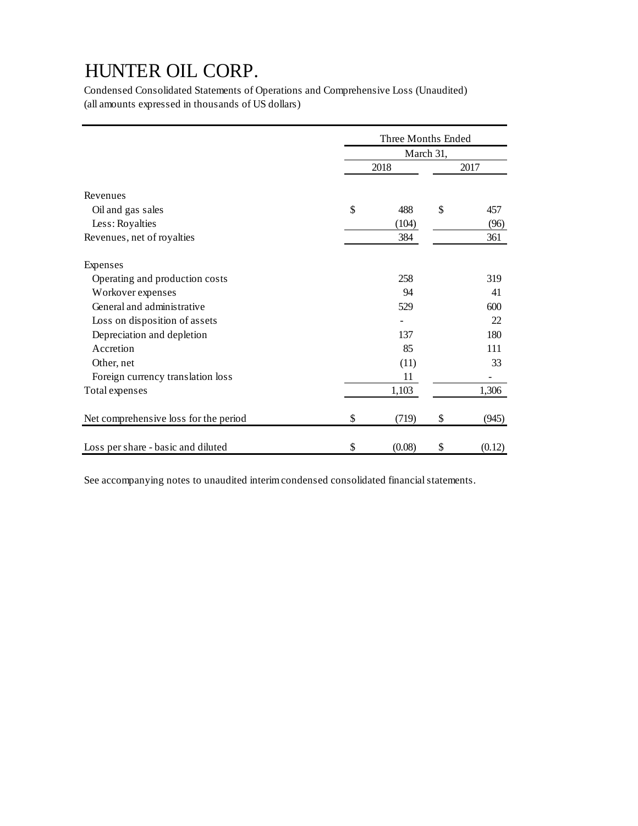Condensed Consolidated Statements of Operations and Comprehensive Loss (Unaudited) (all amounts expressed in thousands of US dollars)

|                                       | Three Months Ended |        |    |        |  |
|---------------------------------------|--------------------|--------|----|--------|--|
|                                       | March 31,          |        |    |        |  |
|                                       |                    | 2018   |    | 2017   |  |
| Revenues                              |                    |        |    |        |  |
| Oil and gas sales                     | \$                 | 488    | \$ | 457    |  |
| Less: Royalties                       |                    | (104)  |    | (96)   |  |
| Revenues, net of royalties            |                    | 384    |    | 361    |  |
| Expenses                              |                    |        |    |        |  |
| Operating and production costs        |                    | 258    |    | 319    |  |
| Workover expenses                     |                    | 94     |    | 41     |  |
| General and administrative            |                    | 529    |    | 600    |  |
| Loss on disposition of assets         |                    |        |    | 22     |  |
| Depreciation and depletion            |                    | 137    |    | 180    |  |
| Accretion                             |                    | 85     |    | 111    |  |
| Other, net                            |                    | (11)   |    | 33     |  |
| Foreign currency translation loss     |                    | 11     |    |        |  |
| Total expenses                        |                    | 1,103  |    | 1,306  |  |
| Net comprehensive loss for the period | \$                 | (719)  | \$ | (945)  |  |
| Loss per share - basic and diluted    | \$                 | (0.08) | \$ | (0.12) |  |

See accompanying notes to unaudited interim condensed consolidated financial statements.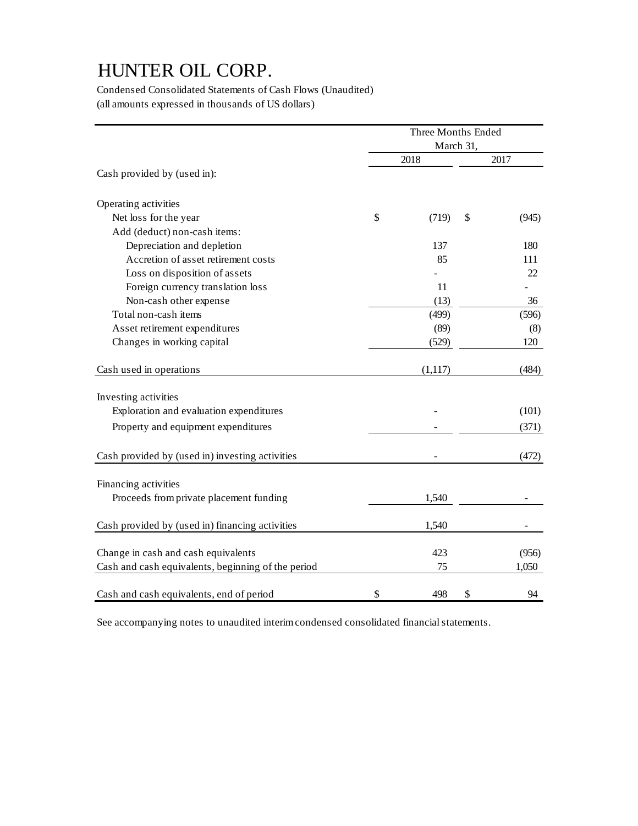Condensed Consolidated Statements of Cash Flows (Unaudited) (all amounts expressed in thousands of US dollars)

|                                                    | Three Months Ended |         |    |       |  |  |
|----------------------------------------------------|--------------------|---------|----|-------|--|--|
|                                                    | March 31,          |         |    |       |  |  |
|                                                    |                    | 2018    |    | 2017  |  |  |
| Cash provided by (used in):                        |                    |         |    |       |  |  |
| Operating activities                               |                    |         |    |       |  |  |
| Net loss for the year                              | \$                 | (719)   | \$ | (945) |  |  |
| Add (deduct) non-cash items:                       |                    |         |    |       |  |  |
| Depreciation and depletion                         |                    | 137     |    | 180   |  |  |
| Accretion of asset retirement costs                |                    | 85      |    | 111   |  |  |
| Loss on disposition of assets                      |                    |         |    | 22    |  |  |
| Foreign currency translation loss                  |                    | 11      |    |       |  |  |
| Non-cash other expense                             |                    | (13)    |    | 36    |  |  |
| Total non-cash items                               |                    | (499)   |    | (596) |  |  |
| Asset retirement expenditures                      |                    | (89)    |    | (8)   |  |  |
| Changes in working capital                         |                    | (529)   |    | 120   |  |  |
| Cash used in operations                            |                    | (1,117) |    | (484) |  |  |
| Investing activities                               |                    |         |    |       |  |  |
| Exploration and evaluation expenditures            |                    |         |    | (101) |  |  |
| Property and equipment expenditures                |                    |         |    | (371) |  |  |
| Cash provided by (used in) investing activities    |                    |         |    | (472) |  |  |
|                                                    |                    |         |    |       |  |  |
| Financing activities                               |                    |         |    |       |  |  |
| Proceeds from private placement funding            |                    | 1,540   |    |       |  |  |
| Cash provided by (used in) financing activities    |                    | 1,540   |    |       |  |  |
|                                                    |                    |         |    |       |  |  |
| Change in cash and cash equivalents                |                    | 423     |    | (956) |  |  |
| Cash and cash equivalents, beginning of the period |                    | 75      |    | 1,050 |  |  |
| Cash and cash equivalents, end of period           | \$                 | 498     | \$ | 94    |  |  |

See accompanying notes to unaudited interim condensed consolidated financial statements.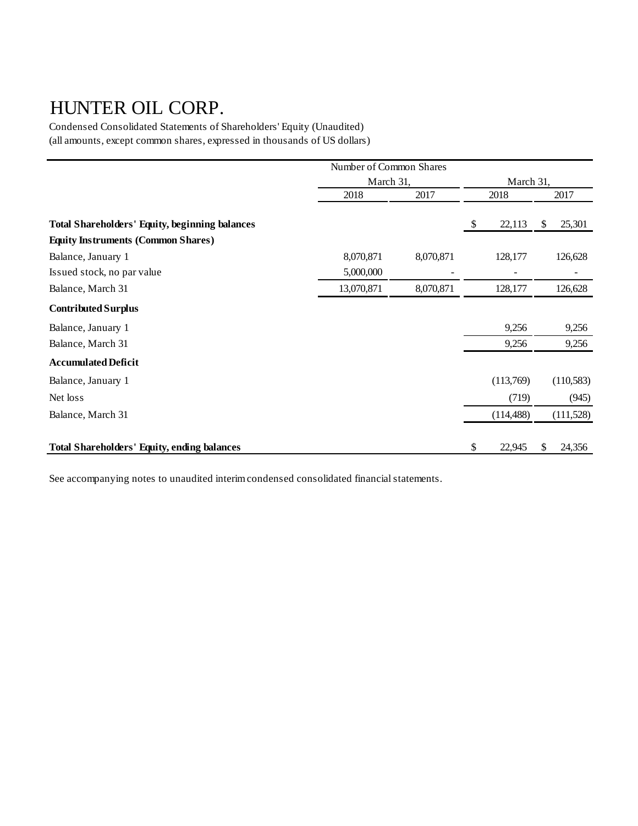Condensed Consolidated Statements of Shareholders' Equity (Unaudited) (all amounts, except common shares, expressed in thousands of US dollars)

|                                                       | Number of Common Shares |           |    |            |    |            |
|-------------------------------------------------------|-------------------------|-----------|----|------------|----|------------|
|                                                       | March 31,               |           |    | March 31,  |    |            |
|                                                       | 2018                    | 2017      |    | 2018       |    | 2017       |
|                                                       |                         |           |    |            |    |            |
| <b>Total Shareholders' Equity, beginning balances</b> |                         |           | \$ | 22,113     | \$ | 25,301     |
| <b>Equity Instruments (Common Shares)</b>             |                         |           |    |            |    |            |
| Balance, January 1                                    | 8,070,871               | 8,070,871 |    | 128,177    |    | 126,628    |
| Issued stock, no par value                            | 5,000,000               |           |    |            |    | ۰          |
| Balance, March 31                                     | 13,070,871              | 8,070,871 |    | 128,177    |    | 126,628    |
| <b>Contributed Surplus</b>                            |                         |           |    |            |    |            |
| Balance, January 1                                    |                         |           |    | 9,256      |    | 9,256      |
| Balance, March 31                                     |                         |           |    | 9,256      |    | 9,256      |
| <b>Accumulated Deficit</b>                            |                         |           |    |            |    |            |
| Balance, January 1                                    |                         |           |    | (113,769)  |    | (110, 583) |
| Net loss                                              |                         |           |    | (719)      |    | (945)      |
| Balance, March 31                                     |                         |           |    | (114, 488) |    | (111,528)  |
| <b>Total Shareholders' Equity, ending balances</b>    |                         |           | \$ | 22,945     | \$ | 24,356     |

See accompanying notes to unaudited interim condensed consolidated financial statements.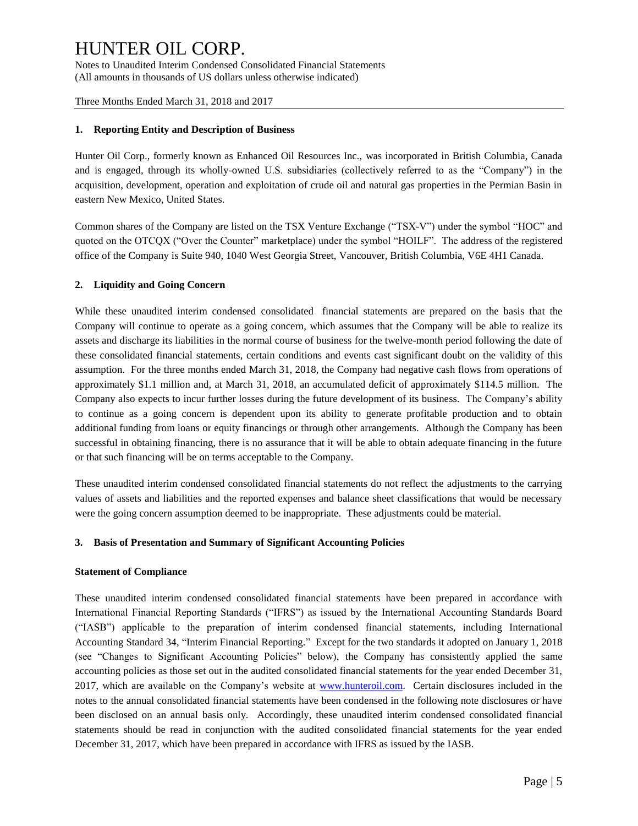Notes to Unaudited Interim Condensed Consolidated Financial Statements (All amounts in thousands of US dollars unless otherwise indicated)

Three Months Ended March 31, 2018 and 2017

#### **1. Reporting Entity and Description of Business**

Hunter Oil Corp., formerly known as Enhanced Oil Resources Inc., was incorporated in British Columbia, Canada and is engaged, through its wholly-owned U.S. subsidiaries (collectively referred to as the "Company") in the acquisition, development, operation and exploitation of crude oil and natural gas properties in the Permian Basin in eastern New Mexico, United States.

Common shares of the Company are listed on the TSX Venture Exchange ("TSX-V") under the symbol "HOC" and quoted on the OTCQX ("Over the Counter" marketplace) under the symbol "HOILF". The address of the registered office of the Company is Suite 940, 1040 West Georgia Street, Vancouver, British Columbia, V6E 4H1 Canada.

#### **2. Liquidity and Going Concern**

While these unaudited interim condensed consolidated financial statements are prepared on the basis that the Company will continue to operate as a going concern, which assumes that the Company will be able to realize its assets and discharge its liabilities in the normal course of business for the twelve-month period following the date of these consolidated financial statements, certain conditions and events cast significant doubt on the validity of this assumption. For the three months ended March 31, 2018, the Company had negative cash flows from operations of approximately \$1.1 million and, at March 31, 2018, an accumulated deficit of approximately \$114.5 million. The Company also expects to incur further losses during the future development of its business. The Company's ability to continue as a going concern is dependent upon its ability to generate profitable production and to obtain additional funding from loans or equity financings or through other arrangements. Although the Company has been successful in obtaining financing, there is no assurance that it will be able to obtain adequate financing in the future or that such financing will be on terms acceptable to the Company.

These unaudited interim condensed consolidated financial statements do not reflect the adjustments to the carrying values of assets and liabilities and the reported expenses and balance sheet classifications that would be necessary were the going concern assumption deemed to be inappropriate. These adjustments could be material.

#### **3. Basis of Presentation and Summary of Significant Accounting Policies**

#### **Statement of Compliance**

These unaudited interim condensed consolidated financial statements have been prepared in accordance with International Financial Reporting Standards ("IFRS") as issued by the International Accounting Standards Board ("IASB") applicable to the preparation of interim condensed financial statements, including International Accounting Standard 34, "Interim Financial Reporting." Except for the two standards it adopted on January 1, 2018 (see "Changes to Significant Accounting Policies" below), the Company has consistently applied the same accounting policies as those set out in the audited consolidated financial statements for the year ended December 31, 2017, which are available on the Company's website at [www.hunteroil.com.](http://www.hunteroil.com/) Certain disclosures included in the notes to the annual consolidated financial statements have been condensed in the following note disclosures or have been disclosed on an annual basis only. Accordingly, these unaudited interim condensed consolidated financial statements should be read in conjunction with the audited consolidated financial statements for the year ended December 31, 2017, which have been prepared in accordance with IFRS as issued by the IASB.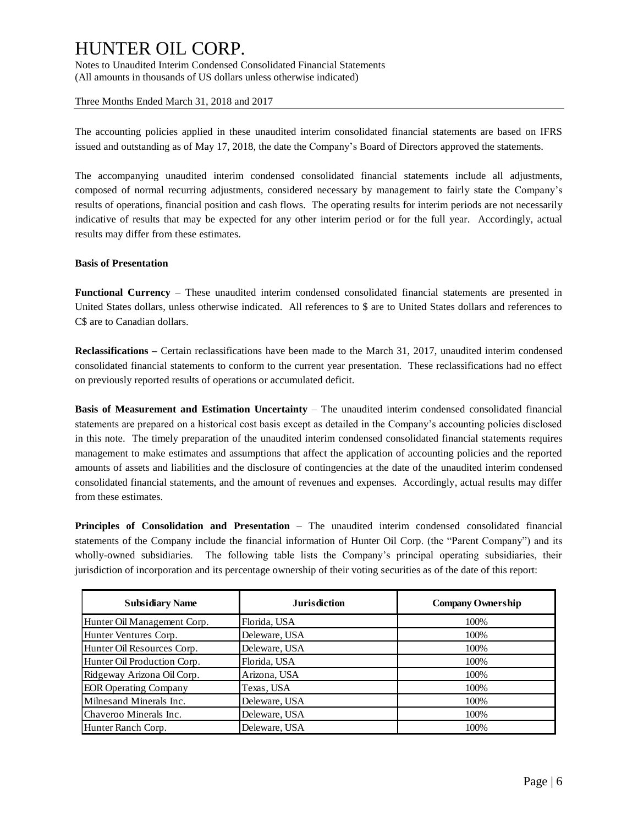Notes to Unaudited Interim Condensed Consolidated Financial Statements (All amounts in thousands of US dollars unless otherwise indicated)

Three Months Ended March 31, 2018 and 2017

The accounting policies applied in these unaudited interim consolidated financial statements are based on IFRS issued and outstanding as of May 17, 2018, the date the Company's Board of Directors approved the statements.

The accompanying unaudited interim condensed consolidated financial statements include all adjustments, composed of normal recurring adjustments, considered necessary by management to fairly state the Company's results of operations, financial position and cash flows. The operating results for interim periods are not necessarily indicative of results that may be expected for any other interim period or for the full year. Accordingly, actual results may differ from these estimates.

#### **Basis of Presentation**

**Functional Currency** – These unaudited interim condensed consolidated financial statements are presented in United States dollars, unless otherwise indicated. All references to \$ are to United States dollars and references to C\$ are to Canadian dollars.

**Reclassifications –** Certain reclassifications have been made to the March 31, 2017, unaudited interim condensed consolidated financial statements to conform to the current year presentation. These reclassifications had no effect on previously reported results of operations or accumulated deficit.

**Basis of Measurement and Estimation Uncertainty** – The unaudited interim condensed consolidated financial statements are prepared on a historical cost basis except as detailed in the Company's accounting policies disclosed in this note. The timely preparation of the unaudited interim condensed consolidated financial statements requires management to make estimates and assumptions that affect the application of accounting policies and the reported amounts of assets and liabilities and the disclosure of contingencies at the date of the unaudited interim condensed consolidated financial statements, and the amount of revenues and expenses. Accordingly, actual results may differ from these estimates.

**Principles of Consolidation and Presentation** – The unaudited interim condensed consolidated financial statements of the Company include the financial information of Hunter Oil Corp. (the "Parent Company") and its wholly-owned subsidiaries. The following table lists the Company's principal operating subsidiaries, their jurisdiction of incorporation and its percentage ownership of their voting securities as of the date of this report:

| <b>Subsidiary Name</b>       | <b>Jurisdiction</b> | <b>Company Ownership</b> |
|------------------------------|---------------------|--------------------------|
| Hunter Oil Management Corp.  | Florida, USA        | 100%                     |
| Hunter Ventures Corp.        | Deleware, USA       | 100%                     |
| Hunter Oil Resources Corp.   | Deleware, USA       | 100%                     |
| Hunter Oil Production Corp.  | Florida, USA        | 100%                     |
| Ridgeway Arizona Oil Corp.   | Arizona, USA        | 100%                     |
| <b>EOR Operating Company</b> | Texas, USA          | 100%                     |
| Milnesand Minerals Inc.      | Deleware, USA       | 100%                     |
| Chaveroo Minerals Inc.       | Deleware, USA       | 100%                     |
| Hunter Ranch Corp.           | Deleware, USA       | 100%                     |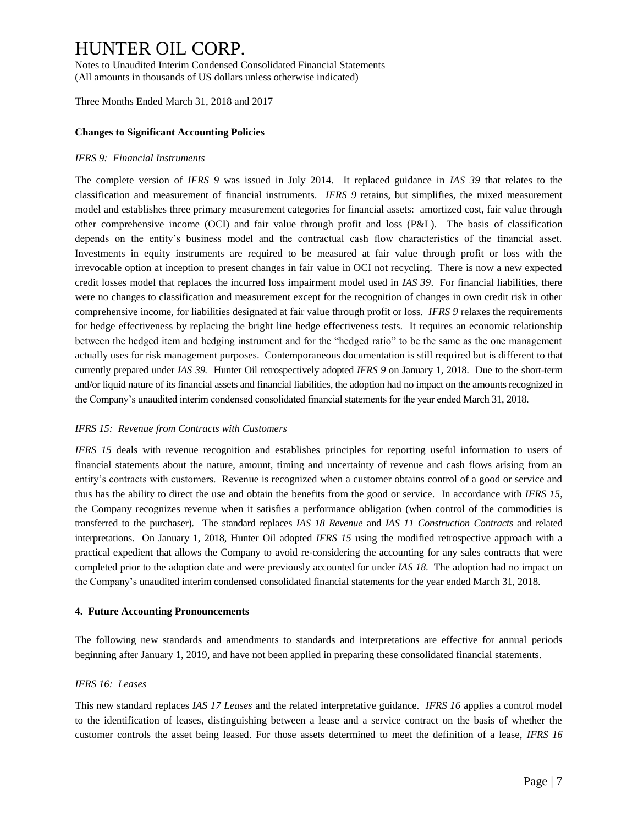Notes to Unaudited Interim Condensed Consolidated Financial Statements (All amounts in thousands of US dollars unless otherwise indicated)

Three Months Ended March 31, 2018 and 2017

#### **Changes to Significant Accounting Policies**

#### *IFRS 9: Financial Instruments*

The complete version of *IFRS 9* was issued in July 2014. It replaced guidance in *IAS 39* that relates to the classification and measurement of financial instruments. *IFRS 9* retains, but simplifies, the mixed measurement model and establishes three primary measurement categories for financial assets: amortized cost, fair value through other comprehensive income (OCI) and fair value through profit and loss (P&L). The basis of classification depends on the entity's business model and the contractual cash flow characteristics of the financial asset. Investments in equity instruments are required to be measured at fair value through profit or loss with the irrevocable option at inception to present changes in fair value in OCI not recycling. There is now a new expected credit losses model that replaces the incurred loss impairment model used in *IAS 39*. For financial liabilities, there were no changes to classification and measurement except for the recognition of changes in own credit risk in other comprehensive income, for liabilities designated at fair value through profit or loss. *IFRS 9* relaxes the requirements for hedge effectiveness by replacing the bright line hedge effectiveness tests. It requires an economic relationship between the hedged item and hedging instrument and for the "hedged ratio" to be the same as the one management actually uses for risk management purposes. Contemporaneous documentation is still required but is different to that currently prepared under *IAS 39.* Hunter Oil retrospectively adopted *IFRS 9* on January 1, 2018. Due to the short-term and/or liquid nature of its financial assets and financial liabilities, the adoption had no impact on the amounts recognized in the Company's unaudited interim condensed consolidated financial statements for the year ended March 31, 2018.

#### *IFRS 15: Revenue from Contracts with Customers*

*IFRS 15* deals with revenue recognition and establishes principles for reporting useful information to users of financial statements about the nature, amount, timing and uncertainty of revenue and cash flows arising from an entity's contracts with customers. Revenue is recognized when a customer obtains control of a good or service and thus has the ability to direct the use and obtain the benefits from the good or service. In accordance with *IFRS 15*, the Company recognizes revenue when it satisfies a performance obligation (when control of the commodities is transferred to the purchaser). The standard replaces *IAS 18 Revenue* and *IAS 11 Construction Contracts* and related interpretations. On January 1, 2018, Hunter Oil adopted *IFRS 15* using the modified retrospective approach with a practical expedient that allows the Company to avoid re-considering the accounting for any sales contracts that were completed prior to the adoption date and were previously accounted for under *IAS 18*. The adoption had no impact on the Company's unaudited interim condensed consolidated financial statements for the year ended March 31, 2018.

#### **4. Future Accounting Pronouncements**

The following new standards and amendments to standards and interpretations are effective for annual periods beginning after January 1, 2019, and have not been applied in preparing these consolidated financial statements.

#### *IFRS 16: Leases*

This new standard replaces *IAS 17 Leases* and the related interpretative guidance. *IFRS 16* applies a control model to the identification of leases, distinguishing between a lease and a service contract on the basis of whether the customer controls the asset being leased. For those assets determined to meet the definition of a lease, *IFRS 16*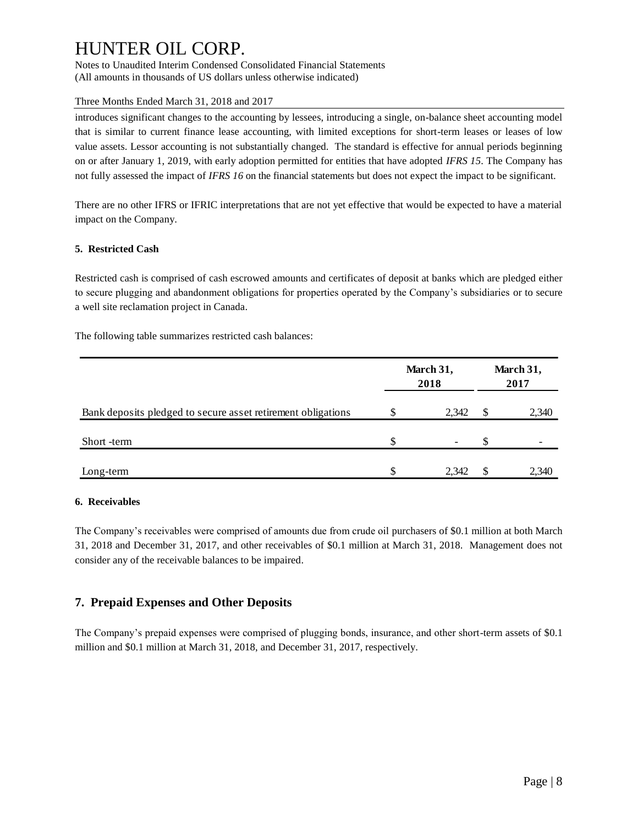Notes to Unaudited Interim Condensed Consolidated Financial Statements (All amounts in thousands of US dollars unless otherwise indicated)

### Three Months Ended March 31, 2018 and 2017

introduces significant changes to the accounting by lessees, introducing a single, on-balance sheet accounting model that is similar to current finance lease accounting, with limited exceptions for short-term leases or leases of low value assets. Lessor accounting is not substantially changed. The standard is effective for annual periods beginning on or after January 1, 2019, with early adoption permitted for entities that have adopted *IFRS 15*. The Company has not fully assessed the impact of *IFRS 16* on the financial statements but does not expect the impact to be significant.

There are no other IFRS or IFRIC interpretations that are not yet effective that would be expected to have a material impact on the Company.

## **5. Restricted Cash**

Restricted cash is comprised of cash escrowed amounts and certificates of deposit at banks which are pledged either to secure plugging and abandonment obligations for properties operated by the Company's subsidiaries or to secure a well site reclamation project in Canada.

The following table summarizes restricted cash balances:

|                                                              |   | March 31,<br>2018 | March 31,<br>2017 |       |  |
|--------------------------------------------------------------|---|-------------------|-------------------|-------|--|
| Bank deposits pledged to secure asset retirement obligations |   | 2,342             | S                 | 2,340 |  |
| Short -term                                                  | S |                   | S                 |       |  |
| Long-term                                                    | Φ | 2.342             | S                 | 2.340 |  |

### **6. Receivables**

The Company's receivables were comprised of amounts due from crude oil purchasers of \$0.1 million at both March 31, 2018 and December 31, 2017, and other receivables of \$0.1 million at March 31, 2018. Management does not consider any of the receivable balances to be impaired.

## **7. Prepaid Expenses and Other Deposits**

The Company's prepaid expenses were comprised of plugging bonds, insurance, and other short-term assets of \$0.1 million and \$0.1 million at March 31, 2018, and December 31, 2017, respectively.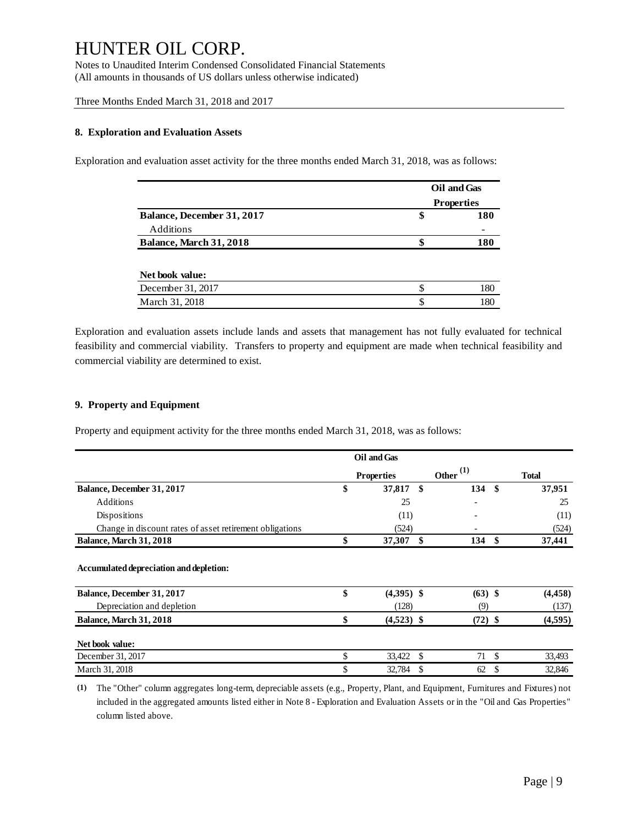Notes to Unaudited Interim Condensed Consolidated Financial Statements (All amounts in thousands of US dollars unless otherwise indicated)

Three Months Ended March 31, 2018 and 2017

#### **8. Exploration and Evaluation Assets**

Exploration and evaluation asset activity for the three months ended March 31, 2018, was as follows:

|                            | Oil and Gas<br><b>Properties</b> |     |  |  |
|----------------------------|----------------------------------|-----|--|--|
| Balance, December 31, 2017 | \$                               | 180 |  |  |
| Additions                  |                                  |     |  |  |
| Balance, March 31, 2018    | \$                               | 180 |  |  |
|                            |                                  |     |  |  |
| Net book value:            |                                  |     |  |  |
| December 31, 2017          | \$                               | 180 |  |  |
| March 31, 2018             |                                  | 180 |  |  |

Exploration and evaluation assets include lands and assets that management has not fully evaluated for technical feasibility and commercial viability. Transfers to property and equipment are made when technical feasibility and commercial viability are determined to exist.

#### **9. Property and Equipment**

Property and equipment activity for the three months ended March 31, 2018, was as follows:

|                                                                       | Oil and Gas          |    |             |      |              |  |
|-----------------------------------------------------------------------|----------------------|----|-------------|------|--------------|--|
|                                                                       | <b>Properties</b>    |    | Other $(1)$ |      | <b>Total</b> |  |
| Balance, December 31, 2017                                            | \$<br>37,817 \$      |    | 134         | - \$ | 37,951       |  |
| <b>Additions</b>                                                      | 25                   |    |             |      | 25           |  |
| Dispositions                                                          | (11)                 |    |             |      | (11)         |  |
| Change in discount rates of asset retirement obligations              | (524)                |    |             |      | (524)        |  |
| <b>Balance, March 31, 2018</b>                                        | \$<br>37,307         | \$ | 134         | \$   | 37,441       |  |
| Accumulated depreciation and depletion:<br>Balance, December 31, 2017 | \$<br>$(4,395)$ \$   |    | $(63)$ \$   |      | (4, 458)     |  |
| Depreciation and depletion                                            | (128)                |    | (9)         |      | (137)        |  |
| <b>Balance, March 31, 2018</b>                                        | \$<br>$(4,523)$ \$   |    | $(72)$ \$   |      | (4,595)      |  |
| Net book value:                                                       |                      |    |             |      |              |  |
| December 31, 2017                                                     | \$<br>33,422<br>- \$ |    | 71          | \$   | 33,493       |  |
| March 31, 2018                                                        | \$<br>32,784         | S  | 62          | \$   | 32,846       |  |

**(1)** The "Other" column aggregates long-term, depreciable assets (e.g., Property, Plant, and Equipment, Furnitures and Fixtures) not mber 31, 2017<br>
included in the aggregates long-term, depreciable assets (e.g., Property, Plant, and Equipment, Furnitures and Fixtures) not<br>
included in the aggregated amounts listed either in Note 8 - Exploration and Eval column listed above.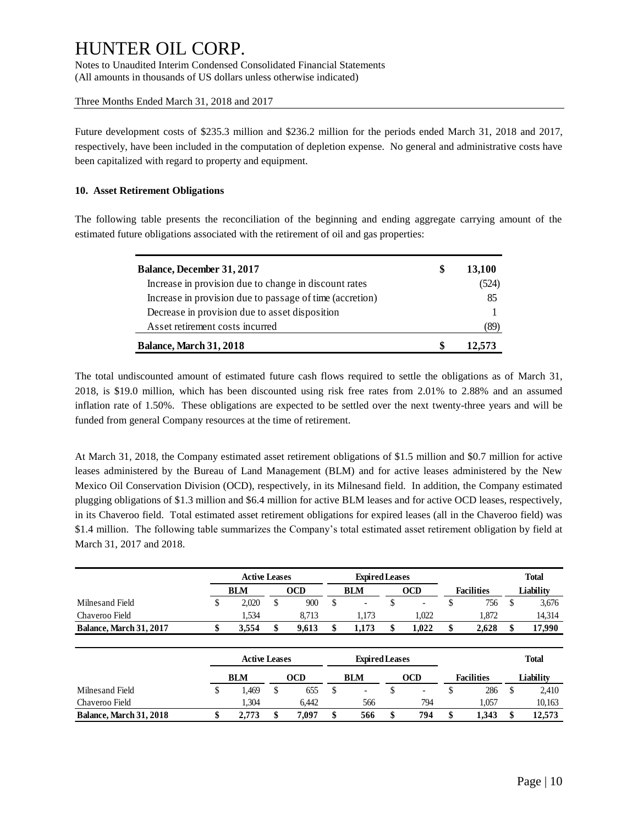Notes to Unaudited Interim Condensed Consolidated Financial Statements (All amounts in thousands of US dollars unless otherwise indicated)

Three Months Ended March 31, 2018 and 2017

Future development costs of \$235.3 million and \$236.2 million for the periods ended March 31, 2018 and 2017, respectively, have been included in the computation of depletion expense. No general and administrative costs have been capitalized with regard to property and equipment.

#### **10. Asset Retirement Obligations**

The following table presents the reconciliation of the beginning and ending aggregate carrying amount of the estimated future obligations associated with the retirement of oil and gas properties:

| Balance, December 31, 2017                               | S | 13,100 |
|----------------------------------------------------------|---|--------|
| Increase in provision due to change in discount rates    |   | (524)  |
| Increase in provision due to passage of time (accretion) |   | 85     |
| Decrease in provision due to asset disposition           |   |        |
| Asset retirement costs incurred                          |   |        |
| <b>Balance, March 31, 2018</b>                           |   | 12.573 |

The total undiscounted amount of estimated future cash flows required to settle the obligations as of March 31, 2018, is \$19.0 million, which has been discounted using risk free rates from 2.01% to 2.88% and an assumed inflation rate of 1.50%. These obligations are expected to be settled over the next twenty-three years and will be funded from general Company resources at the time of retirement.

At March 31, 2018, the Company estimated asset retirement obligations of \$1.5 million and \$0.7 million for active leases administered by the Bureau of Land Management (BLM) and for active leases administered by the New Mexico Oil Conservation Division (OCD), respectively, in its Milnesand field. In addition, the Company estimated plugging obligations of \$1.3 million and \$6.4 million for active BLM leases and for active OCD leases, respectively, in its Chaveroo field. Total estimated asset retirement obligations for expired leases (all in the Chaveroo field) was \$1.4 million. The following table summarizes the Company's total estimated asset retirement obligation by field at March 31, 2017 and 2018.

|                                |    | <b>Active Leases</b> |            | <b>Expired Leases</b>          |    |            |    |                   |    | <b>Total</b> |
|--------------------------------|----|----------------------|------------|--------------------------------|----|------------|----|-------------------|----|--------------|
|                                |    | <b>BLM</b>           | <b>OCD</b> | <b>BLM</b>                     |    | <b>OCD</b> |    | <b>Facilities</b> |    | Liability    |
| Milnes and Field               | S  | 2.020                | \$<br>900  | \$<br>$\overline{\phantom{a}}$ | S  |            | S  | 756               | S  | 3,676        |
| Chaveroo Field                 |    | 1,534                | 8,713      | 1,173                          |    | 1,022      |    | 1,872             |    | 14,314       |
| <b>Balance, March 31, 2017</b> |    | 3,554                | 9,613      | \$<br>1,173                    |    | 1,022      | \$ | 2,628             |    | 17,990       |
|                                |    | <b>Active Leases</b> |            | <b>Expired Leases</b>          |    |            |    |                   |    | <b>Total</b> |
|                                |    | <b>BLM</b>           | <b>OCD</b> | <b>BLM</b>                     |    | <b>OCD</b> |    | <b>Facilities</b> |    | Liability    |
| Milnes and Field               | \$ | 1.469                | \$<br>655  | \$<br>$\overline{\phantom{a}}$ | \$ | -          | \$ | 286               | \$ | 2,410        |
| Chaveroo Field                 |    | 1.304                | 6.442      | 566                            |    | 794        |    | 1.057             |    | 10,163       |
| <b>Balance, March 31, 2018</b> | \$ | 2.773                | 7.097      | \$<br>566                      |    | 794        | \$ | 1.343             |    | 12.573       |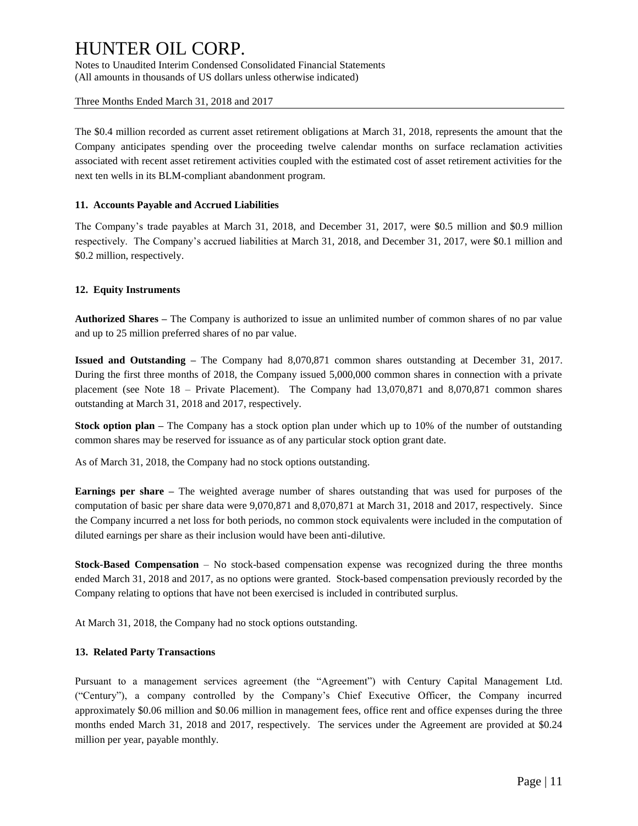Notes to Unaudited Interim Condensed Consolidated Financial Statements (All amounts in thousands of US dollars unless otherwise indicated)

Three Months Ended March 31, 2018 and 2017

The \$0.4 million recorded as current asset retirement obligations at March 31, 2018, represents the amount that the Company anticipates spending over the proceeding twelve calendar months on surface reclamation activities associated with recent asset retirement activities coupled with the estimated cost of asset retirement activities for the next ten wells in its BLM-compliant abandonment program.

### **11. Accounts Payable and Accrued Liabilities**

The Company's trade payables at March 31, 2018, and December 31, 2017, were \$0.5 million and \$0.9 million respectively. The Company's accrued liabilities at March 31, 2018, and December 31, 2017, were \$0.1 million and \$0.2 million, respectively.

### **12. Equity Instruments**

**Authorized Shares –** The Company is authorized to issue an unlimited number of common shares of no par value and up to 25 million preferred shares of no par value.

**Issued and Outstanding –** The Company had 8,070,871 common shares outstanding at December 31, 2017. During the first three months of 2018, the Company issued 5,000,000 common shares in connection with a private placement (see Note 18 – Private Placement). The Company had 13,070,871 and 8,070,871 common shares outstanding at March 31, 2018 and 2017, respectively.

**Stock option plan –** The Company has a stock option plan under which up to 10% of the number of outstanding common shares may be reserved for issuance as of any particular stock option grant date.

As of March 31, 2018, the Company had no stock options outstanding.

**Earnings per share –** The weighted average number of shares outstanding that was used for purposes of the computation of basic per share data were 9,070,871 and 8,070,871 at March 31, 2018 and 2017, respectively. Since the Company incurred a net loss for both periods, no common stock equivalents were included in the computation of diluted earnings per share as their inclusion would have been anti-dilutive.

**Stock-Based Compensation** – No stock-based compensation expense was recognized during the three months ended March 31, 2018 and 2017, as no options were granted. Stock-based compensation previously recorded by the Company relating to options that have not been exercised is included in contributed surplus.

At March 31, 2018, the Company had no stock options outstanding.

### **13. Related Party Transactions**

Pursuant to a management services agreement (the "Agreement") with Century Capital Management Ltd. ("Century"), a company controlled by the Company's Chief Executive Officer, the Company incurred approximately \$0.06 million and \$0.06 million in management fees, office rent and office expenses during the three months ended March 31, 2018 and 2017, respectively. The services under the Agreement are provided at \$0.24 million per year, payable monthly.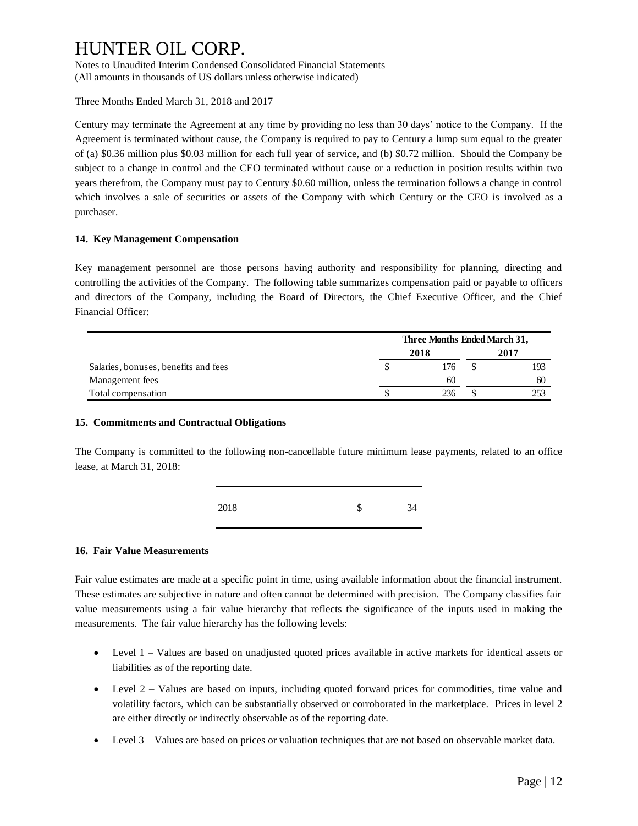Notes to Unaudited Interim Condensed Consolidated Financial Statements (All amounts in thousands of US dollars unless otherwise indicated)

Three Months Ended March 31, 2018 and 2017

Century may terminate the Agreement at any time by providing no less than 30 days' notice to the Company. If the Agreement is terminated without cause, the Company is required to pay to Century a lump sum equal to the greater of (a) \$0.36 million plus \$0.03 million for each full year of service, and (b) \$0.72 million. Should the Company be subject to a change in control and the CEO terminated without cause or a reduction in position results within two years therefrom, the Company must pay to Century \$0.60 million, unless the termination follows a change in control which involves a sale of securities or assets of the Company with which Century or the CEO is involved as a purchaser.

### **14. Key Management Compensation**

Key management personnel are those persons having authority and responsibility for planning, directing and controlling the activities of the Company. The following table summarizes compensation paid or payable to officers and directors of the Company, including the Board of Directors, the Chief Executive Officer, and the Chief Financial Officer:

|                                      | Three Months Ended March 31, |      |   |      |  |
|--------------------------------------|------------------------------|------|---|------|--|
|                                      |                              | 2018 |   | 2017 |  |
| Salaries, bonuses, benefits and fees |                              | 176  | S | 193  |  |
| Management fees                      |                              | 60   |   | 60   |  |
| Total compensation                   |                              | 236  | S | 253  |  |

#### **15. Commitments and Contractual Obligations**

The Company is committed to the following non-cancellable future minimum lease payments, related to an office lease, at March 31, 2018:

| 2018 | \$<br>34 |
|------|----------|
|      |          |

### **16. Fair Value Measurements**

Fair value estimates are made at a specific point in time, using available information about the financial instrument. These estimates are subjective in nature and often cannot be determined with precision. The Company classifies fair value measurements using a fair value hierarchy that reflects the significance of the inputs used in making the measurements. The fair value hierarchy has the following levels:

- Level 1 Values are based on unadjusted quoted prices available in active markets for identical assets or liabilities as of the reporting date.
- Level 2 Values are based on inputs, including quoted forward prices for commodities, time value and volatility factors, which can be substantially observed or corroborated in the marketplace. Prices in level 2 are either directly or indirectly observable as of the reporting date.
- Level 3 Values are based on prices or valuation techniques that are not based on observable market data.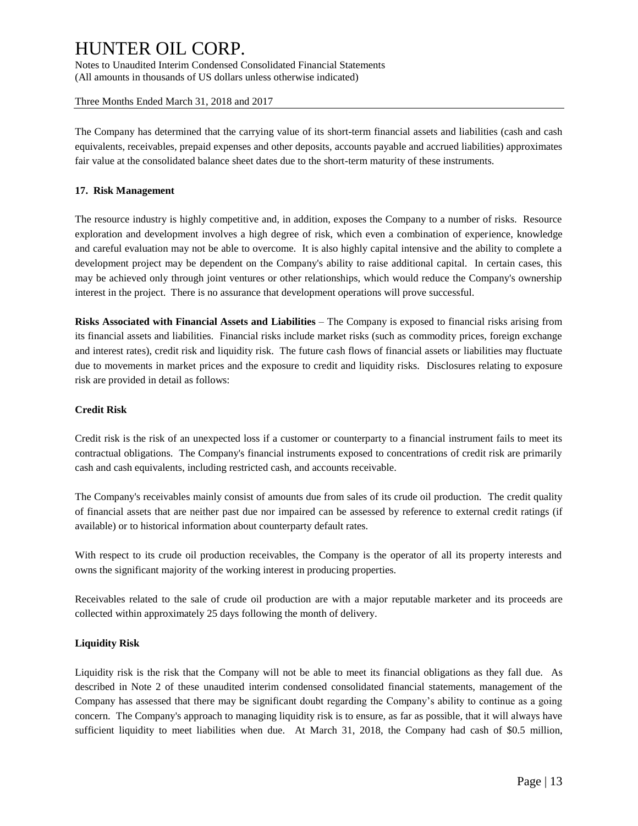Notes to Unaudited Interim Condensed Consolidated Financial Statements (All amounts in thousands of US dollars unless otherwise indicated)

#### Three Months Ended March 31, 2018 and 2017

The Company has determined that the carrying value of its short-term financial assets and liabilities (cash and cash equivalents, receivables, prepaid expenses and other deposits, accounts payable and accrued liabilities) approximates fair value at the consolidated balance sheet dates due to the short-term maturity of these instruments.

#### **17. Risk Management**

The resource industry is highly competitive and, in addition, exposes the Company to a number of risks. Resource exploration and development involves a high degree of risk, which even a combination of experience, knowledge and careful evaluation may not be able to overcome. It is also highly capital intensive and the ability to complete a development project may be dependent on the Company's ability to raise additional capital. In certain cases, this may be achieved only through joint ventures or other relationships, which would reduce the Company's ownership interest in the project. There is no assurance that development operations will prove successful.

**Risks Associated with Financial Assets and Liabilities** – The Company is exposed to financial risks arising from its financial assets and liabilities. Financial risks include market risks (such as commodity prices, foreign exchange and interest rates), credit risk and liquidity risk. The future cash flows of financial assets or liabilities may fluctuate due to movements in market prices and the exposure to credit and liquidity risks. Disclosures relating to exposure risk are provided in detail as follows:

#### **Credit Risk**

Credit risk is the risk of an unexpected loss if a customer or counterparty to a financial instrument fails to meet its contractual obligations. The Company's financial instruments exposed to concentrations of credit risk are primarily cash and cash equivalents, including restricted cash, and accounts receivable.

The Company's receivables mainly consist of amounts due from sales of its crude oil production. The credit quality of financial assets that are neither past due nor impaired can be assessed by reference to external credit ratings (if available) or to historical information about counterparty default rates.

With respect to its crude oil production receivables, the Company is the operator of all its property interests and owns the significant majority of the working interest in producing properties.

Receivables related to the sale of crude oil production are with a major reputable marketer and its proceeds are collected within approximately 25 days following the month of delivery.

#### **Liquidity Risk**

Liquidity risk is the risk that the Company will not be able to meet its financial obligations as they fall due. As described in Note 2 of these unaudited interim condensed consolidated financial statements, management of the Company has assessed that there may be significant doubt regarding the Company's ability to continue as a going concern. The Company's approach to managing liquidity risk is to ensure, as far as possible, that it will always have sufficient liquidity to meet liabilities when due. At March 31, 2018, the Company had cash of \$0.5 million,